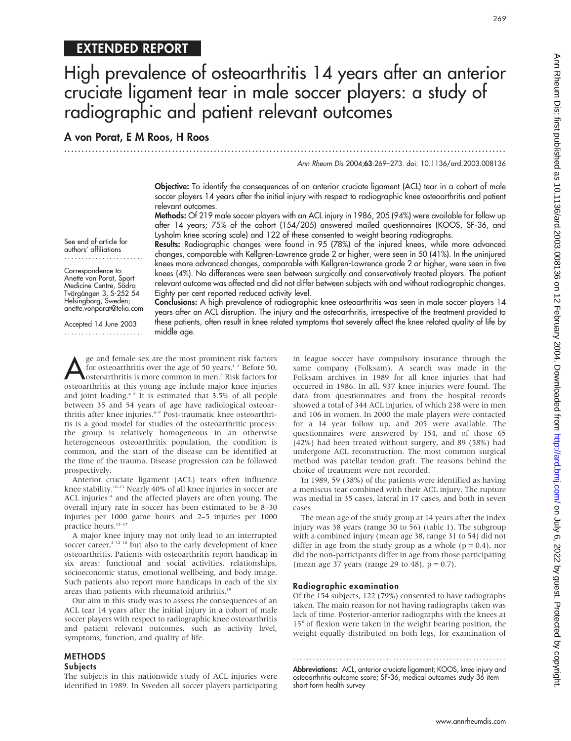## EXTENDED REPORT

# High prevalence of osteoarthritis 14 years after an anterior cruciate ligament tear in male soccer players: a study of radiographic and patient relevant outcomes

### A von Porat, E M Roos, H Roos

.............................................................................................................................. .

Ann Rheum Dis 2004;63:269–273. doi: 10.1136/ard.2003.008136

269

Objective: To identify the consequences of an anterior cruciate ligament (ACL) tear in a cohort of male soccer players 14 years after the initial injury with respect to radiographic knee osteoarthritis and patient relevant outcomes.

Methods: Of 219 male soccer players with an ACL injury in 1986, 205 (94%) were available for follow up after 14 years; 75% of the cohort (154/205) answered mailed questionnaires (KOOS, SF-36, and Lysholm knee scoring scale) and 122 of these consented to weight bearing radiographs.

See end of article for authors' affiliations .......................

Correspondence to: Anette von Porat, Sport Medicine Centre, Södra Tvärgången 3, S-252 54 Helsingborg, Sweden; anette.vonporat@telia.com

Accepted 14 June 2003 .......................

Results: Radiographic changes were found in 95 (78%) of the injured knees, while more advanced changes, comparable with Kellgren-Lawrence grade 2 or higher, were seen in 50 (41%). In the uninjured knees more advanced changes, comparable with Kellgren-Lawrence grade 2 or higher, were seen in five knees (4%). No differences were seen between surgically and conservatively treated players. The patient relevant outcome was affected and did not differ between subjects with and without radiographic changes. Eighty per cent reported reduced activity level.

Conclusions: A high prevalence of radiographic knee osteoarthritis was seen in male soccer players 14 years after an ACL disruption. The injury and the osteoarthritis, irrespective of the treatment provided to these patients, often result in knee related symptoms that severely affect the knee related quality of life by middle age.

ge and female sex are the most prominent risk factors<br>for osteoarthritis over the age of 50 years.<sup>1,2</sup> Before 50,<br>osteoarthritis is more common in men.<sup>3</sup> Risk factors for<br>osteoarthritis at this voung age include major kn for osteoarthritis over the age of 50 years.<sup>1</sup> <sup>2</sup> Before 50, osteoarthritis is more common in men.3 Risk factors for osteoarthritis at this young age include major knee injuries and joint loading.4 5 It is estimated that 3.5% of all people between 35 and 54 years of age have radiological osteoarthritis after knee injuries.<sup>6-9</sup> Post-traumatic knee osteoarthritis is a good model for studies of the osteoarthritic process: the group is relatively homogeneous in an otherwise heterogeneous osteoarthritis population, the condition is common, and the start of the disease can be identified at the time of the trauma. Disease progression can be followed prospectively.

Anterior cruciate ligament (ACL) tears often influence knee stability.<sup>10–13</sup> Nearly 40% of all knee injuries in soccer are ACL injuries<sup>14</sup> and the affected players are often young. The overall injury rate in soccer has been estimated to be 8–30 injuries per 1000 game hours and 2–5 injuries per 1000 practice hours.<sup>15-17</sup>

A major knee injury may not only lead to an interrupted soccer career, $4^{12}$  18 but also to the early development of knee osteoarthritis. Patients with osteoarthritis report handicap in six areas: functional and social activities, relationships, socioeconomic status, emotional wellbeing, and body image. Such patients also report more handicaps in each of the six areas than patients with rheumatoid arthritis.<sup>19</sup>

Our aim in this study was to assess the consequences of an ACL tear 14 years after the initial injury in a cohort of male soccer players with respect to radiographic knee osteoarthritis and patient relevant outcomes, such as activity level, symptoms, function, and quality of life.

### METHODS **Subjects**

The subjects in this nationwide study of ACL injuries were identified in 1989. In Sweden all soccer players participating in league soccer have compulsory insurance through the same company (Folksam). A search was made in the Folksam archives in 1989 for all knee injuries that had occurred in 1986. In all, 937 knee injuries were found. The data from questionnaires and from the hospital records showed a total of 344 ACL injuries, of which 238 were in men and 106 in women. In 2000 the male players were contacted for a 14 year follow up, and 205 were available. The questionnaires were answered by 154, and of those 65 (42%) had been treated without surgery, and 89 (58%) had undergone ACL reconstruction. The most common surgical method was patellar tendon graft. The reasons behind the choice of treatment were not recorded.

In 1989, 59 (38%) of the patients were identified as having a meniscus tear combined with their ACL injury. The rupture was medial in 35 cases, lateral in 17 cases, and both in seven cases.

The mean age of the study group at 14 years after the index injury was 38 years (range 30 to 56) (table 1). The subgroup with a combined injury (mean age 38, range 31 to 54) did not differ in age from the study group as a whole ( $p = 0.4$ ), nor did the non-participants differ in age from those participating (mean age 37 years (range 29 to 48),  $p = 0.7$ ).

### Radiographic examination

Of the 154 subjects, 122 (79%) consented to have radiographs taken. The main reason for not having radiographs taken was lack of time. Posterior-anterior radiographs with the knees at 15° of flexion were taken in the weight bearing position, the weight equally distributed on both legs, for examination of

Abbreviations: ACL, anterior cruciate ligament; KOOS, knee injury and osteoarthritis outcome score; SF-36, medical outcomes study 36 item short form health survey

............................................................... .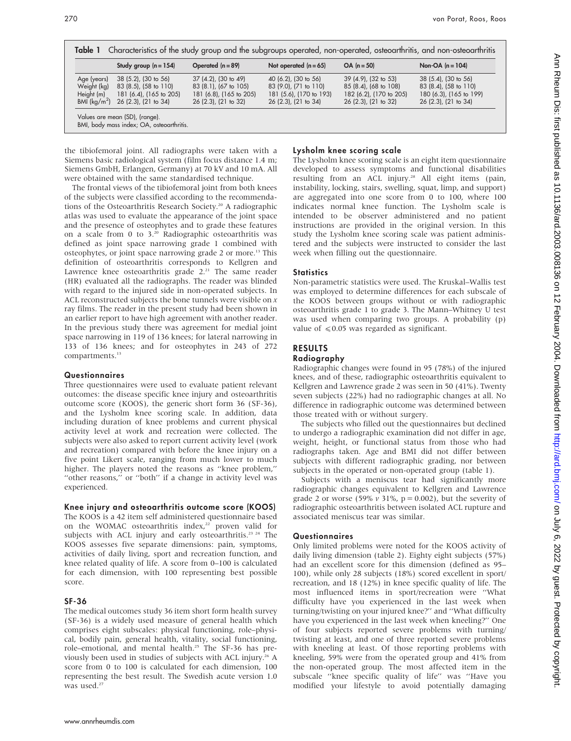| Table 1                                                    | Characteristics of the study group and the subgroups operated, non-operated, osteoarthritis, and non-osteoarthritis |                                                                                                  |                                                                                                               |                                                                                                        |                                                                                                        |  |  |  |
|------------------------------------------------------------|---------------------------------------------------------------------------------------------------------------------|--------------------------------------------------------------------------------------------------|---------------------------------------------------------------------------------------------------------------|--------------------------------------------------------------------------------------------------------|--------------------------------------------------------------------------------------------------------|--|--|--|
|                                                            | Study group $(n = 154)$                                                                                             | Operated $(n = 89)$                                                                              | Not operated $(n = 65)$                                                                                       | $OA (n = 50)$                                                                                          | Non-OA $(n = 104)$                                                                                     |  |  |  |
| Age (years)<br>Weight (kg)<br>Height (m)<br>BMI $(kq/m^2)$ | $38(5.2)$ , $(30 \text{ to } 56)$<br>83 (8.5), (58 to 110)<br>181 (6.4), (165 to 205)<br>$26(2.3)$ , $(21$ to $34)$ | 37 (4.2), (30 to 49)<br>83 (8.1), (67 to 105)<br>181 (6.8), (165 to 205)<br>26 (2.3), (21 to 32) | 40 (6.2), (30 to 56)<br>83 (9.0), (71 to 110)<br>181 (5.6), (170 to 193)<br>$26(2.3)$ , $(21 \text{ to } 34)$ | 39 (4.9), (32 to 53)<br>85 (8.4), (68 to 108)<br>182 (6.2), (170 to 205)<br>$26(2.3)$ , $(21$ to $32)$ | 38 (5.4), (30 to 56)<br>83 (8.4), (58 to 110)<br>180 (6.3), (165 to 199)<br>$26(2.3)$ , $(21$ to $34)$ |  |  |  |
| Values are mean (SD), (range).                             |                                                                                                                     |                                                                                                  |                                                                                                               |                                                                                                        |                                                                                                        |  |  |  |

BMI, body mass index; OA, osteoarthritis.

the tibiofemoral joint. All radiographs were taken with a Siemens basic radiological system (film focus distance 1.4 m; Siemens GmbH, Erlangen, Germany) at 70 kV and 10 mA. All were obtained with the same standardised technique.

The frontal views of the tibiofemoral joint from both knees of the subjects were classified according to the recommendations of the Osteoarthritis Research Society.<sup>20</sup> A radiographic atlas was used to evaluate the appearance of the joint space and the presence of osteophytes and to grade these features on a scale from 0 to  $3.^{20}$  Radiographic osteoarthritis was defined as joint space narrowing grade 1 combined with osteophytes, or joint space narrowing grade 2 or more.<sup>13</sup> This definition of osteoarthritis corresponds to Kellgren and Lawrence knee osteoarthritis grade  $2.^{21}$ . The same reader (HR) evaluated all the radiographs. The reader was blinded with regard to the injured side in non-operated subjects. In ACL reconstructed subjects the bone tunnels were visible on  $x$ ray films. The reader in the present study had been shown in an earlier report to have high agreement with another reader. In the previous study there was agreement for medial joint space narrowing in 119 of 136 knees; for lateral narrowing in 133 of 136 knees; and for osteophytes in 243 of 272 compartments.<sup>13</sup>

### **Questionnaires**

Three questionnaires were used to evaluate patient relevant outcomes: the disease specific knee injury and osteoarthritis outcome score (KOOS), the generic short form 36 (SF-36), and the Lysholm knee scoring scale. In addition, data including duration of knee problems and current physical activity level at work and recreation were collected. The subjects were also asked to report current activity level (work and recreation) compared with before the knee injury on a five point Likert scale, ranging from much lower to much higher. The players noted the reasons as ''knee problem,'' "other reasons," or "both" if a change in activity level was experienced.

### Knee injury and osteoarthritis outcome score (KOOS)

The KOOS is a 42 item self administered questionnaire based on the WOMAC osteoarthritis index,<sup>22</sup> proven valid for subjects with ACL injury and early osteoarthritis.<sup>23 24</sup> The KOOS assesses five separate dimensions: pain, symptoms, activities of daily living, sport and recreation function, and knee related quality of life. A score from 0–100 is calculated for each dimension, with 100 representing best possible score.

### SF-36

The medical outcomes study 36 item short form health survey (SF-36) is a widely used measure of general health which comprises eight subscales: physical functioning, role–physical, bodily pain, general health, vitality, social functioning, role–emotional, and mental health.<sup>25</sup> The SF-36 has previously been used in studies of subjects with ACL injury.26 A score from 0 to 100 is calculated for each dimension, 100 representing the best result. The Swedish acute version 1.0 was used.<sup>27</sup>

# Lysholm knee scoring scale

The Lysholm knee scoring scale is an eight item questionnaire developed to assess symptoms and functional disabilities resulting from an ACL injury.<sup>28</sup> All eight items (pain, instability, locking, stairs, swelling, squat, limp, and support) are aggregated into one score from 0 to 100, where 100 indicates normal knee function. The Lysholm scale is intended to be observer administered and no patient instructions are provided in the original version. In this study the Lysholm knee scoring scale was patient administered and the subjects were instructed to consider the last week when filling out the questionnaire.

### **Statistics**

Non-parametric statistics were used. The Kruskal–Wallis test was employed to determine differences for each subscale of the KOOS between groups without or with radiographic osteoarthritis grade 1 to grade 3. The Mann–Whitney U test was used when comparing two groups. A probability (p) value of  $\leq 0.05$  was regarded as significant.

### RESULTS

### Radiography

Radiographic changes were found in 95 (78%) of the injured knees, and of these, radiographic osteoarthritis equivalent to Kellgren and Lawrence grade 2 was seen in 50 (41%). Twenty seven subjects (22%) had no radiographic changes at all. No difference in radiographic outcome was determined between those treated with or without surgery.

The subjects who filled out the questionnaires but declined to undergo a radiographic examination did not differ in age, weight, height, or functional status from those who had radiographs taken. Age and BMI did not differ between subjects with different radiographic grading, nor between subjects in the operated or non-operated group (table 1).

Subjects with a meniscus tear had significantly more radiographic changes equivalent to Kellgren and Lawrence grade 2 or worse (59%  $v$  31%, p = 0.002), but the severity of radiographic osteoarthritis between isolated ACL rupture and associated meniscus tear was similar.

### **Questionnaires**

Only limited problems were noted for the KOOS activity of daily living dimension (table 2). Eighty eight subjects (57%) had an excellent score for this dimension (defined as 95– 100), while only 28 subjects (18%) scored excellent in sport/ recreation, and 18 (12%) in knee specific quality of life. The most influenced items in sport/recreation were ''What difficulty have you experienced in the last week when turning/twisting on your injured knee?'' and ''What difficulty have you experienced in the last week when kneeling?'' One of four subjects reported severe problems with turning/ twisting at least, and one of three reported severe problems with kneeling at least. Of those reporting problems with kneeling, 59% were from the operated group and 41% from the non-operated group. The most affected item in the subscale ''knee specific quality of life'' was ''Have you modified your lifestyle to avoid potentially damaging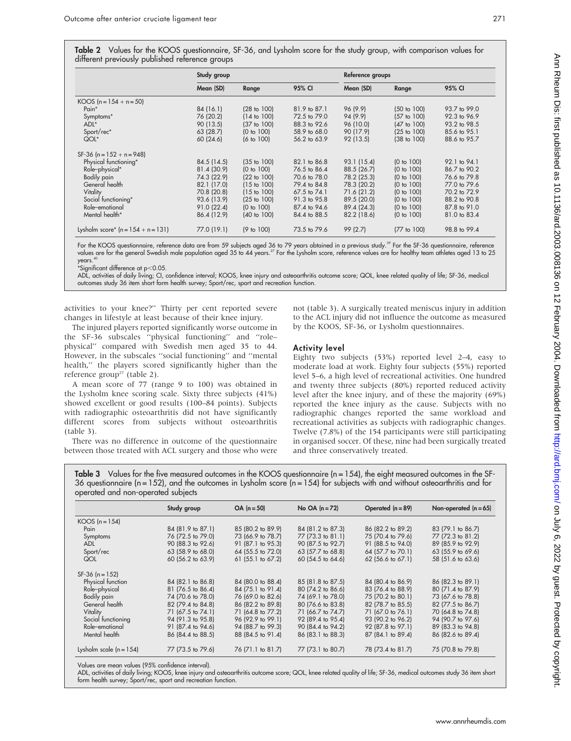|                                      | Study group |                        |              |             | Reference groups       |              |  |
|--------------------------------------|-------------|------------------------|--------------|-------------|------------------------|--------------|--|
|                                      | Mean (SD)   | Range                  | 95% CI       | Mean (SD)   | Range                  | 95% CI       |  |
| KOOS $(n = 154 + n = 50)$            |             |                        |              |             |                        |              |  |
| Pain <sup>*</sup>                    | 84 (16.1)   | (28 to 100)            | 81.9 to 87.1 | 96 (9.9)    | $(50 \text{ to } 100)$ | 93.7 to 99.0 |  |
| Symptoms*                            | 76 (20.2)   | $(14 \text{ to } 100)$ | 72.5 to 79.0 | 94 (9.9)    | $(57 \text{ to } 100)$ | 92.3 to 96.9 |  |
| ADL*                                 | 90(13.5)    | $(37 \text{ to } 100)$ | 88.3 to 92.6 | 96 (10.0)   | $(47 \text{ to } 100)$ | 93.2 to 98.5 |  |
| Sport/rec*                           | 63 (28.7)   | (0 to 100)             | 58.9 to 68.0 | 90 (17.9)   | $(25 \text{ to } 100)$ | 85.6 to 95.1 |  |
| QOL*                                 | 60(24.6)    | $(6 \text{ to } 100)$  | 56.2 to 63.9 | 92 (13.5)   | $(38 \text{ to } 100)$ | 88.6 to 95.7 |  |
| $SF-36$ (n = 152 + n = 948)          |             |                        |              |             |                        |              |  |
| Physical functioning*                | 84.5 (14.5) | $(35 \text{ to } 100)$ | 82.1 to 86.8 | 93.1 (15.4) | (0 to 100)             | 92.1 to 94.1 |  |
| Role-physical*                       | 81.4 (30.9) | (0 to 100)             | 76.5 to 86.4 | 88.5 (26.7) | (0 to 100)             | 86.7 to 90.2 |  |
| Bodily pain                          | 74.3 (22.9) | (22 to 100)            | 70.6 to 78.0 | 78.2 (25.3) | (0 to 100)             | 76.6 to 79.8 |  |
| General health                       | 82.1 (17.0) | $(15 \text{ to } 100)$ | 79.4 to 84.8 | 78.3 (20.2) | (0 to 100)             | 77.0 to 79.6 |  |
| Vitality                             | 70.8 (20.8) | $(15 \text{ to } 100)$ | 67.5 to 74.1 | 71.6 (21.2) | (0 to 100)             | 70.2 to 72.9 |  |
| Social functioning*                  | 93.6 (13.9) | $(25 \text{ to } 100)$ | 91.3 to 95.8 | 89.5 (20.0) | (0 to 100)             | 88.2 to 90.8 |  |
| Role-emotional                       | 91.0(22.4)  | (0 to 100)             | 87.4 to 94.6 | 89.4 (24.3) | (0 to 100)             | 87.8 to 91.0 |  |
| Mental health*                       | 86.4 (12.9) | $(40 \text{ to } 100)$ | 84.4 to 88.5 | 82.2 (18.6) | (0 to 100)             | 81.0 to 83.4 |  |
| Lysholm score* $(n = 154 + n = 131)$ | 77.0 (19.1) | (9 to 100)             | 73.5 to 79.6 | 99 (2.7)    | (77 to 100)            | 98.8 to 99.4 |  |

For the KOOS questionnaire, reference data are from 59 subjects aged 36 to 79 years obtained in a previous study.<sup>39</sup> For the SF-36 questionnaire, reference values are for the general Swedish male population aged 35 to 44 years.<sup>27</sup> For the Lysholm score, reference values are for healthy team athletes aged 13 to 25 years.<sup>40</sup>

 $*$ Significant difference at p $<$ 0.05.

ADL, activities of daily living; CI, confidence interval; KOOS, knee injury and osteoarthritis outcome score; QOL, knee related quality of life; SF-36, medical outcomes study 36 item short form health survey; Sport/rec, sport and recreation function.

activities to your knee?'' Thirty per cent reported severe changes in lifestyle at least because of their knee injury.

The injured players reported significantly worse outcome in the SF-36 subscales ''physical functioning'' and ''role– physical'' compared with Swedish men aged 35 to 44. However, in the subscales ''social functioning'' and ''mental health,'' the players scored significantly higher than the reference group<sup>27</sup> (table 2).

A mean score of 77 (range 9 to 100) was obtained in the Lysholm knee scoring scale. Sixty three subjects (41%) showed excellent or good results (100–84 points). Subjects with radiographic osteoarthritis did not have significantly different scores from subjects without osteoarthritis (table 3).

There was no difference in outcome of the questionnaire between those treated with ACL surgery and those who were not (table 3). A surgically treated meniscus injury in addition to the ACL injury did not influence the outcome as measured by the KOOS, SF-36, or Lysholm questionnaires.

### Activity level

Eighty two subjects (53%) reported level 2–4, easy to moderate load at work. Eighty four subjects (55%) reported level 5–6, a high level of recreational activities. One hundred and twenty three subjects (80%) reported reduced activity level after the knee injury, and of these the majority (69%) reported the knee injury as the cause. Subjects with no radiographic changes reported the same workload and recreational activities as subjects with radiographic changes. Twelve (7.8%) of the 154 participants were still participating in organised soccer. Of these, nine had been surgically treated and three conservatively treated.

Table 3 Values for the five measured outcomes in the KOOS questionnaire ( $n = 154$ ), the eight measured outcomes in the SF-36 questionnaire (n = 152), and the outcomes in Lysholm score (n = 154) for subjects with and without osteoarthritis and for operated and non-operated subjects

|                           | Study group       | $OA (n = 50)$          | No OA $(n=72)$    | Operated $(n = 89)$ | Non-operated $(n = 65)$ |
|---------------------------|-------------------|------------------------|-------------------|---------------------|-------------------------|
| $KOOS (n=154)$            |                   |                        |                   |                     |                         |
| Pain                      | 84 (81.9 to 87.1) | 85 (80.2 to 89.9)      | 84 (81.2 to 87.3) | 86 (82.2 to 89.2)   | 83 (79.1 to 86.7)       |
| Symptoms                  | 76 (72.5 to 79.0) | 73 (66.9 to 78.7)      | 77 (73.3 to 81.1) | 75 (70.4 to 79.6)   | 77 (72.3 to 81.2)       |
| <b>ADL</b>                | 90 (88.3 to 92.6) | 91 (87.1 to 95.3)      | 90 (87.5 to 92.7) | 91 (88.5 to 94.0)   | 89 (85.9 to 92.9)       |
| Sport/rec                 | 63 (58.9 to 68.0) | 64 (55.5 to 72.0)      | 63 (57.7 to 68.8) | 64 (57.7 to 70.1)   | 63 (55.9 to 69.6)       |
| QOL                       | 60 (56.2 to 63.9) | $61$ (55.1 to $67.2$ ) | 60 (54.5 to 64.6) | 62 (56.6 to 67.1)   | 58 (51.6 to 63.6)       |
| $SF-36 (n = 152)$         |                   |                        |                   |                     |                         |
| Physical function         | 84 (82.1 to 86.8) | 84 (80.0 to 88.4)      | 85 (81.8 to 87.5) | 84 (80.4 to 86.9)   | 86 (82.3 to 89.1)       |
| Role-physical             | 81 (76.5 to 86.4) | 84 (75.1 to 91.4)      | 80 (74.2 to 86.6) | 83 (76.4 to 88.9)   | 80 (71.4 to 87.9)       |
| Bodily pain               | 74 (70.6 to 78.0) | 76 (69.0 to 82.6)      | 74 (69.1 to 78.0) | 75 (70.2 to 80.1)   | 73 (67.6 to 78.8)       |
| General health            | 82 (79.4 to 84.8) | 86 (82.2 to 89.8)      | 80 (76.6 to 83.8) | 82 (78.7 to 85.5)   | 82 (77.5 to 86.7)       |
| Vitality                  | 71 (67.5 to 74.1) | 71 (64.8 to 77.2)      | 71 (66.7 to 74.7) | 71 (67.0 to 76.1)   | 70 (64.8 to 74.8)       |
| Social functioning        | 94 (91.3 to 95.8) | 96 (92.9 to 99.1)      | 92 (89.4 to 95.4) | 93 (90.2 to 96.2)   | 94 (90.7 to 97.6)       |
| Role-emotional            | 91 (87.4 to 94.6) | 94 (88.7 to 99.3)      | 90 (84.4 to 94.2) | 92 (87.8 to 97.1)   | 89 (83.3 to 94.8)       |
| Mental health             | 86 (84.4 to 88.5) | 88 (84.5 to 91.4)      | 86 (83.1 to 88.3) | 87 (84.1 to 89.4)   | 86 (82.6 to 89.4)       |
| Lysholm scale $(n = 154)$ | 77 (73.5 to 79.6) | 76 (71.1 to 81.7)      | 77 (73.1 to 80.7) | 78 (73.4 to 81.7)   | 75 (70.8 to 79.8)       |

Values are mean values (95% confidence interval).

ADL, activities of daily living; KOOS, knee injury and osteoarthritis outcome score; QOL, knee related quality of life; SF-36, medical outcomes study 36 item short form health survey; Sport/rec, sport and recreation function.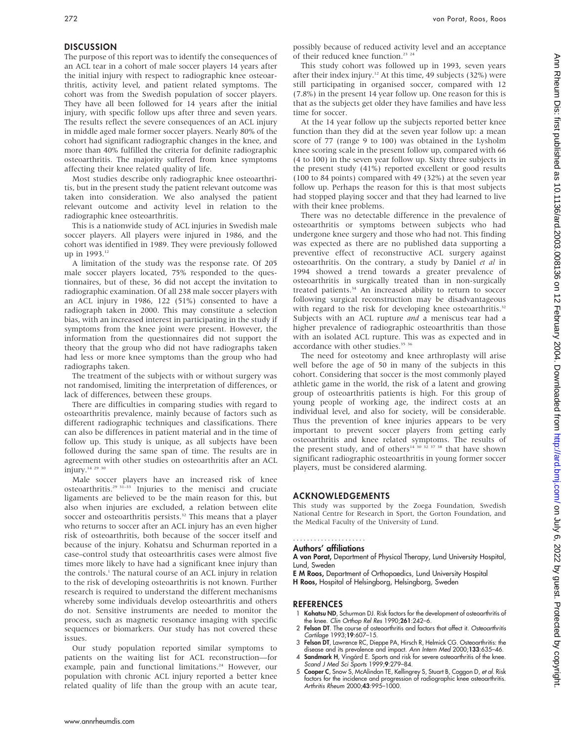The purpose of this report was to identify the consequences of an ACL tear in a cohort of male soccer players 14 years after the initial injury with respect to radiographic knee osteoarthritis, activity level, and patient related symptoms. The cohort was from the Swedish population of soccer players. They have all been followed for 14 years after the initial injury, with specific follow ups after three and seven years. The results reflect the severe consequences of an ACL injury in middle aged male former soccer players. Nearly 80% of the cohort had significant radiographic changes in the knee, and more than 40% fulfilled the criteria for definite radiographic osteoarthritis. The majority suffered from knee symptoms affecting their knee related quality of life.

Most studies describe only radiographic knee osteoarthritis, but in the present study the patient relevant outcome was taken into consideration. We also analysed the patient relevant outcome and activity level in relation to the radiographic knee osteoarthritis.

This is a nationwide study of ACL injuries in Swedish male soccer players. All players were injured in 1986, and the cohort was identified in 1989. They were previously followed up in 1993.<sup>12</sup>

A limitation of the study was the response rate. Of 205 male soccer players located, 75% responded to the questionnaires, but of these, 36 did not accept the invitation to radiographic examination. Of all 238 male soccer players with an ACL injury in 1986, 122 (51%) consented to have a radiograph taken in 2000. This may constitute a selection bias, with an increased interest in participating in the study if symptoms from the knee joint were present. However, the information from the questionnaires did not support the theory that the group who did not have radiographs taken had less or more knee symptoms than the group who had radiographs taken.

The treatment of the subjects with or without surgery was not randomised, limiting the interpretation of differences, or lack of differences, between these groups.

There are difficulties in comparing studies with regard to osteoarthritis prevalence, mainly because of factors such as different radiographic techniques and classifications. There can also be differences in patient material and in the time of follow up. This study is unique, as all subjects have been followed during the same span of time. The results are in agreement with other studies on osteoarthritis after an ACL injury.<sup>14 29 30</sup>

Male soccer players have an increased risk of knee osteoarthritis.<sup>29 31-33</sup> Injuries to the menisci and cruciate ligaments are believed to be the main reason for this, but also when injuries are excluded, a relation between elite soccer and osteoarthritis persists.<sup>32</sup> This means that a player who returns to soccer after an ACL injury has an even higher risk of osteoarthritis, both because of the soccer itself and because of the injury. Kohatsu and Schurman reported in a case–control study that osteoarthritis cases were almost five times more likely to have had a significant knee injury than the controls.<sup>1</sup> The natural course of an ACL injury in relation to the risk of developing osteoarthritis is not known. Further research is required to understand the different mechanisms whereby some individuals develop osteoarthritis and others do not. Sensitive instruments are needed to monitor the process, such as magnetic resonance imaging with specific sequences or biomarkers. Our study has not covered these issues.

Our study population reported similar symptoms to patients on the waiting list for ACL reconstruction—for example, pain and functional limitations.<sup>24</sup> However, our population with chronic ACL injury reported a better knee related quality of life than the group with an acute tear, possibly because of reduced activity level and an acceptance of their reduced knee function.<sup>23</sup> <sup>24</sup>

This study cohort was followed up in 1993, seven years after their index injury.12 At this time, 49 subjects (32%) were still participating in organised soccer, compared with 12 (7.8%) in the present 14 year follow up. One reason for this is that as the subjects get older they have families and have less time for soccer.

At the 14 year follow up the subjects reported better knee function than they did at the seven year follow up: a mean score of 77 (range 9 to 100) was obtained in the Lysholm knee scoring scale in the present follow up, compared with 66 (4 to 100) in the seven year follow up. Sixty three subjects in the present study (41%) reported excellent or good results (100 to 84 points) compared with 49 (32%) at the seven year follow up. Perhaps the reason for this is that most subjects had stopped playing soccer and that they had learned to live with their knee problems.

There was no detectable difference in the prevalence of osteoarthritis or symptoms between subjects who had undergone knee surgery and those who had not. This finding was expected as there are no published data supporting a preventive effect of reconstructive ACL surgery against osteoarthritis. On the contrary, a study by Daniel et al in 1994 showed a trend towards a greater prevalence of osteoarthritis in surgically treated than in non-surgically treated patients.<sup>34</sup> An increased ability to return to soccer following surgical reconstruction may be disadvantageous with regard to the risk for developing knee osteoarthritis.<sup>32</sup> Subjects with an ACL rupture and a meniscus tear had a higher prevalence of radiographic osteoarthritis than those with an isolated ACL rupture. This was as expected and in accordance with other studies.<sup>35</sup> 36</sup>

The need for osteotomy and knee arthroplasty will arise well before the age of 50 in many of the subjects in this cohort. Considering that soccer is the most commonly played athletic game in the world, the risk of a latent and growing group of osteoarthritis patients is high. For this group of young people of working age, the indirect costs at an individual level, and also for society, will be considerable. Thus the prevention of knee injuries appears to be very important to prevent soccer players from getting early osteoarthritis and knee related symptoms. The results of the present study, and of others<sup>14 30</sup> <sup>32</sup> <sup>37</sup> <sup>38</sup> that have shown significant radiographic osteoarthritis in young former soccer players, must be considered alarming.

### ACKNOWLEDGEMENTS

This study was supported by the Zoega Foundation, Swedish National Centre for Research in Sport, the Gorton Foundation, and the Medical Faculty of the University of Lund.

#### Authors' affiliations .....................

A von Porat, Department of Physical Therapy, Lund University Hospital, Lund, Sweden

E M Roos, Department of Orthopaedics, Lund University Hospital H Roos, Hospital of Helsingborg, Helsingborg, Sweden

### REFERENCES

- 1 Kohatsu ND, Schurman DJ. Risk factors for the development of osteoarthritis of the knee. Clin Orthop Rel Res 1990;261:242–6.
- 2 Felson DT. The course of osteoarthritis and factors that affect it. Osteoarthritis Cartilage 1993;19:607–15.
- 3 Felson DT, Lawrence RC, Dieppe PA, Hirsch R, Helmick CG. Osteoarthritis: the disease and its prevalence and impact. Ann Intern Med 2000;133:635–46.
- 4 **Sandmark H**, Vingård E. Sports and risk tor severe osteoarthritis of the knee.<br>Scand J Med Sci Sports 1999;**9**:279–84.
- 5 Cooper C, Snow S, McAlindon TE, Kellingrey S, Stuart B, Coggon D, et al. Risk factors for the incidence and progression of radiographic knee osteoarthritis. Arthritis Rheum 2000;43:995-1000.